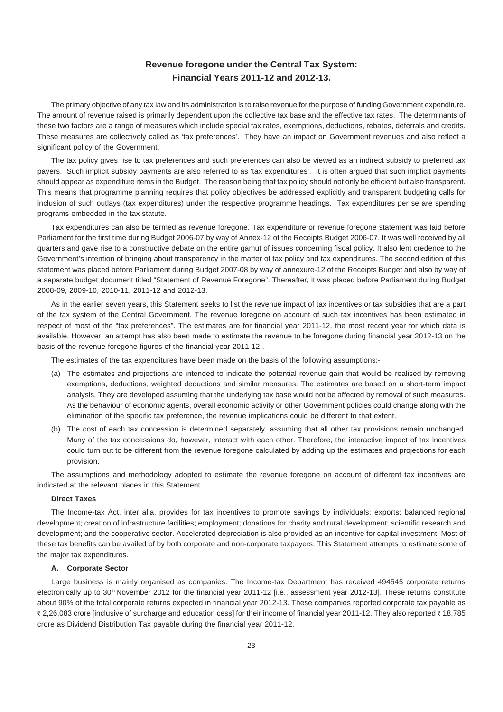## **Revenue foregone under the Central Tax System: Financial Years 2011-12 and 2012-13.**

The primary objective of any tax law and its administration is to raise revenue for the purpose of funding Government expenditure. The amount of revenue raised is primarily dependent upon the collective tax base and the effective tax rates. The determinants of these two factors are a range of measures which include special tax rates, exemptions, deductions, rebates, deferrals and credits. These measures are collectively called as 'tax preferences'. They have an impact on Government revenues and also reflect a significant policy of the Government.

The tax policy gives rise to tax preferences and such preferences can also be viewed as an indirect subsidy to preferred tax payers. Such implicit subsidy payments are also referred to as 'tax expenditures'. It is often argued that such implicit payments should appear as expenditure items in the Budget. The reason being that tax policy should not only be efficient but also transparent. This means that programme planning requires that policy objectives be addressed explicitly and transparent budgeting calls for inclusion of such outlays (tax expenditures) under the respective programme headings. Tax expenditures per se are spending programs embedded in the tax statute.

Tax expenditures can also be termed as revenue foregone. Tax expenditure or revenue foregone statement was laid before Parliament for the first time during Budget 2006-07 by way of Annex-12 of the Receipts Budget 2006-07. It was well received by all quarters and gave rise to a constructive debate on the entire gamut of issues concerning fiscal policy. It also lent credence to the Government's intention of bringing about transparency in the matter of tax policy and tax expenditures. The second edition of this statement was placed before Parliament during Budget 2007-08 by way of annexure-12 of the Receipts Budget and also by way of a separate budget document titled "Statement of Revenue Foregone". Thereafter, it was placed before Parliament during Budget 2008-09, 2009-10, 2010-11, 2011-12 and 2012-13.

As in the earlier seven years, this Statement seeks to list the revenue impact of tax incentives or tax subsidies that are a part of the tax system of the Central Government. The revenue foregone on account of such tax incentives has been estimated in respect of most of the "tax preferences". The estimates are for financial year 2011-12, the most recent year for which data is available. However, an attempt has also been made to estimate the revenue to be foregone during financial year 2012-13 on the basis of the revenue foregone figures of the financial year 2011-12 .

The estimates of the tax expenditures have been made on the basis of the following assumptions:-

- (a) The estimates and projections are intended to indicate the potential revenue gain that would be realised by removing exemptions, deductions, weighted deductions and similar measures. The estimates are based on a short-term impact analysis. They are developed assuming that the underlying tax base would not be affected by removal of such measures. As the behaviour of economic agents, overall economic activity or other Government policies could change along with the elimination of the specific tax preference, the revenue implications could be different to that extent.
- (b) The cost of each tax concession is determined separately, assuming that all other tax provisions remain unchanged. Many of the tax concessions do, however, interact with each other. Therefore, the interactive impact of tax incentives could turn out to be different from the revenue foregone calculated by adding up the estimates and projections for each provision.

The assumptions and methodology adopted to estimate the revenue foregone on account of different tax incentives are indicated at the relevant places in this Statement.

## **Direct Taxes**

The Income-tax Act, inter alia, provides for tax incentives to promote savings by individuals; exports; balanced regional development; creation of infrastructure facilities; employment; donations for charity and rural development; scientific research and development; and the cooperative sector. Accelerated depreciation is also provided as an incentive for capital investment. Most of these tax benefits can be availed of by both corporate and non-corporate taxpayers. This Statement attempts to estimate some of the major tax expenditures.

#### **A. Corporate Sector**

Large business is mainly organised as companies. The Income-tax Department has received 494545 corporate returns electronically up to 30<sup>th</sup> November 2012 for the financial year 2011-12 [i.e., assessment year 2012-13]. These returns constitute about 90% of the total corporate returns expected in financial year 2012-13. These companies reported corporate tax payable as ₹ 2,26,083 crore [inclusive of surcharge and education cess] for their income of financial year 2011-12. They also reported ₹ 18,785 crore as Dividend Distribution Tax payable during the financial year 2011-12.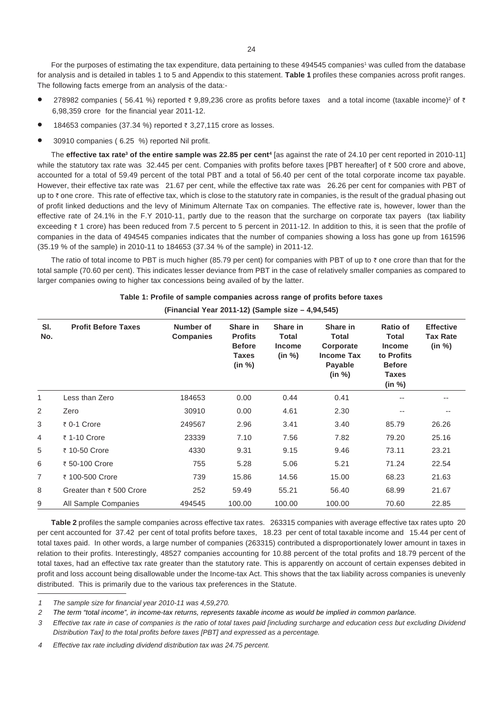For the purposes of estimating the tax expenditure, data pertaining to these 494545 companies<sup>1</sup> was culled from the database for analysis and is detailed in tables 1 to 5 and Appendix to this statement. **Table 1** profiles these companies across profit ranges. The following facts emerge from an analysis of the data:-

- 278982 companies ( 56.41 %) reported  $\bar{\tau}$  9,89,236 crore as profits before taxes and a total income (taxable income)<sup>2</sup> of  $\bar{\tau}$ 6,98,359 crore for the financial year 2011-12.
- 184653 companies (37.34 %) reported ₹ 3,27,115 crore as losses.
- 30910 companies ( 6.25 %) reported Nil profit.

The **effective tax rate<sup>3</sup> of the entire sample was 22.85 per cent<sup>4</sup> [as against the rate of 24.10 per cent reported in 2010-11]** while the statutory tax rate was 32.445 per cent. Companies with profits before taxes [PBT hereafter] of  $\bar{\tau}$  500 crore and above, accounted for a total of 59.49 percent of the total PBT and a total of 56.40 per cent of the total corporate income tax payable. However, their effective tax rate was 21.67 per cent, while the effective tax rate was 26.26 per cent for companies with PBT of up to ₹ one crore. This rate of effective tax, which is close to the statutory rate in companies, is the result of the gradual phasing out of profit linked deductions and the levy of Minimum Alternate Tax on companies. The effective rate is, however, lower than the effective rate of 24.1% in the F.Y 2010-11, partly due to the reason that the surcharge on corporate tax payers (tax liability exceeding ₹ 1 crore) has been reduced from 7.5 percent to 5 percent in 2011-12. In addition to this, it is seen that the profile of companies in the data of 494545 companies indicates that the number of companies showing a loss has gone up from 161596 (35.19 % of the sample) in 2010-11 to 184653 (37.34 % of the sample) in 2011-12.

The ratio of total income to PBT is much higher (85.79 per cent) for companies with PBT of up to  $\bar{\tau}$  one crore than that for the total sample (70.60 per cent). This indicates lesser deviance from PBT in the case of relatively smaller companies as compared to larger companies owing to higher tax concessions being availed of by the latter.

| SI.<br>No. | <b>Profit Before Taxes</b> | Number of<br><b>Companies</b> | Share in<br><b>Profits</b><br><b>Before</b><br>Taxes<br>(in %) | Share in<br>Total<br><b>Income</b><br>(in %) | Share in<br><b>Total</b><br>Corporate<br><b>Income Tax</b><br>Payable<br>(in %) | Ratio of<br><b>Total</b><br><b>Income</b><br>to Profits<br><b>Before</b><br><b>Taxes</b><br>(in %) | <b>Effective</b><br><b>Tax Rate</b><br>(in %) |
|------------|----------------------------|-------------------------------|----------------------------------------------------------------|----------------------------------------------|---------------------------------------------------------------------------------|----------------------------------------------------------------------------------------------------|-----------------------------------------------|
| 1          | Less than Zero             | 184653                        | 0.00                                                           | 0.44                                         | 0.41                                                                            |                                                                                                    | --                                            |
| 2          | Zero                       | 30910                         | 0.00                                                           | 4.61                                         | 2.30                                                                            | $- -$                                                                                              | $- -$                                         |
| 3          | ₹ 0-1 Crore                | 249567                        | 2.96                                                           | 3.41                                         | 3.40                                                                            | 85.79                                                                                              | 26.26                                         |
| 4          | ₹ 1-10 Crore               | 23339                         | 7.10                                                           | 7.56                                         | 7.82                                                                            | 79.20                                                                                              | 25.16                                         |
| 5          | ₹ 10-50 Crore              | 4330                          | 9.31                                                           | 9.15                                         | 9.46                                                                            | 73.11                                                                                              | 23.21                                         |
| 6          | ₹ 50-100 Crore             | 755                           | 5.28                                                           | 5.06                                         | 5.21                                                                            | 71.24                                                                                              | 22.54                                         |
| 7          | ₹ 100-500 Crore            | 739                           | 15.86                                                          | 14.56                                        | 15.00                                                                           | 68.23                                                                                              | 21.63                                         |
| 8          | Greater than ₹ 500 Crore   | 252                           | 59.49                                                          | 55.21                                        | 56.40                                                                           | 68.99                                                                                              | 21.67                                         |
| 9          | All Sample Companies       | 494545                        | 100.00                                                         | 100.00                                       | 100.00                                                                          | 70.60                                                                                              | 22.85                                         |

**Table 1: Profile of sample companies across range of profits before taxes (Financial Year 2011-12) (Sample size – 4,94,545)**

**Table 2** profiles the sample companies across effective tax rates. 263315 companies with average effective tax rates upto 20 per cent accounted for 37.42 per cent of total profits before taxes, 18.23 per cent of total taxable income and 15.44 per cent of total taxes paid. In other words, a large number of companies (263315) contributed a disproportionately lower amount in taxes in relation to their profits. Interestingly, 48527 companies accounting for 10.88 percent of the total profits and 18.79 percent of the total taxes, had an effective tax rate greater than the statutory rate. This is apparently on account of certain expenses debited in profit and loss account being disallowable under the Income-tax Act. This shows that the tax liability across companies is unevenly distributed. This is primarily due to the various tax preferences in the Statute.

*<sup>1</sup> The sample size for financial year 2010-11 was 4,59,270.*

*<sup>2</sup> The term "total income", in income-tax returns, represents taxable income as would be implied in common parlance.*

*<sup>3</sup> Effective tax rate in case of companies is the ratio of total taxes paid [including surcharge and education cess but excluding Dividend Distribution Tax] to the total profits before taxes [PBT] and expressed as a percentage.*

*<sup>4</sup> Effective tax rate including dividend distribution tax was 24.75 percent.*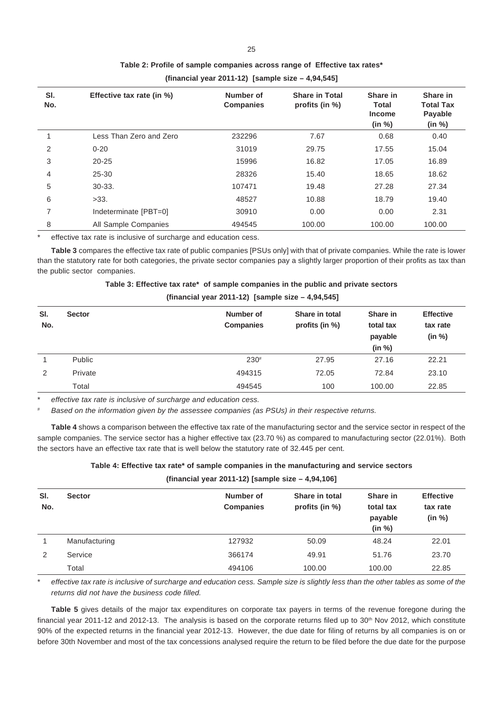| SI.<br>No. | Effective tax rate (in %) | Number of<br><b>Companies</b> | <b>Share in Total</b><br>profits (in %) | Share in<br><b>Total</b><br><b>Income</b><br>(in %) | Share in<br><b>Total Tax</b><br>Payable<br>(in %) |
|------------|---------------------------|-------------------------------|-----------------------------------------|-----------------------------------------------------|---------------------------------------------------|
|            | Less Than Zero and Zero   | 232296                        | 7.67                                    | 0.68                                                | 0.40                                              |
| 2          | $0 - 20$                  | 31019                         | 29.75                                   | 17.55                                               | 15.04                                             |
| 3          | $20 - 25$                 | 15996                         | 16.82                                   | 17.05                                               | 16.89                                             |
| 4          | $25 - 30$                 | 28326                         | 15.40                                   | 18.65                                               | 18.62                                             |
| 5          | $30-33.$                  | 107471                        | 19.48                                   | 27.28                                               | 27.34                                             |
| 6          | >33.                      | 48527                         | 10.88                                   | 18.79                                               | 19.40                                             |
| 7          | Indeterminate [PBT=0]     | 30910                         | 0.00                                    | 0.00                                                | 2.31                                              |
| 8          | All Sample Companies      | 494545                        | 100.00                                  | 100.00                                              | 100.00                                            |

## **Table 2: Profile of sample companies across range of Effective tax rates\***

**(financial year 2011-12) [sample size – 4,94,545]**

effective tax rate is inclusive of surcharge and education cess.

**Table 3** compares the effective tax rate of public companies [PSUs only] with that of private companies. While the rate is lower than the statutory rate for both categories, the private sector companies pay a slightly larger proportion of their profits as tax than the public sector companies.

| Table 3: Effective tax rate* of sample companies in the public and private sectors |  |  |
|------------------------------------------------------------------------------------|--|--|
|                                                                                    |  |  |

| (financial year 2011-12) [sample size $-4,94,545$ ] |
|-----------------------------------------------------|
|-----------------------------------------------------|

| SI.<br>No. | <b>Sector</b> | Number of<br><b>Companies</b> | Share in total<br>profits (in $%$ ) | Share in<br>total tax<br>payable | <b>Effective</b><br>tax rate<br>(in %) |
|------------|---------------|-------------------------------|-------------------------------------|----------------------------------|----------------------------------------|
|            | Public        | $230*$                        | 27.95                               | (in %)<br>27.16                  | 22.21                                  |
| 2          | Private       | 494315                        | 72.05                               | 72.84                            | 23.10                                  |
|            | Total         | 494545                        | 100                                 | 100.00                           | 22.85                                  |

effective tax rate is inclusive of surcharge and education cess.

*# Based on the information given by the assessee companies (as PSUs) in their respective returns.*

**Table 4** shows a comparison between the effective tax rate of the manufacturing sector and the service sector in respect of the sample companies. The service sector has a higher effective tax (23.70 %) as compared to manufacturing sector (22.01%). Both the sectors have an effective tax rate that is well below the statutory rate of 32.445 per cent.

**Table 4: Effective tax rate\* of sample companies in the manufacturing and service sectors**

**(financial year 2011-12) [sample size – 4,94,106]**

| SI.<br>No. | <b>Sector</b> | Number of<br><b>Companies</b> | Share in total<br>profits (in %) | Share in<br>total tax<br>payable<br>(in %) | <b>Effective</b><br>tax rate<br>(in %) |
|------------|---------------|-------------------------------|----------------------------------|--------------------------------------------|----------------------------------------|
|            | Manufacturing | 127932                        | 50.09                            | 48.24                                      | 22.01                                  |
| 2          | Service       | 366174                        | 49.91                            | 51.76                                      | 23.70                                  |
|            | Total         | 494106                        | 100.00                           | 100.00                                     | 22.85                                  |

\* *effective tax rate is inclusive of surcharge and education cess. Sample size is slightly less than the other tables as some of the returns did not have the business code filled.*

**Table 5** gives details of the major tax expenditures on corporate tax payers in terms of the revenue foregone during the financial year 2011-12 and 2012-13. The analysis is based on the corporate returns filed up to  $30<sup>th</sup>$  Nov 2012, which constitute 90% of the expected returns in the financial year 2012-13. However, the due date for filing of returns by all companies is on or before 30th November and most of the tax concessions analysed require the return to be filed before the due date for the purpose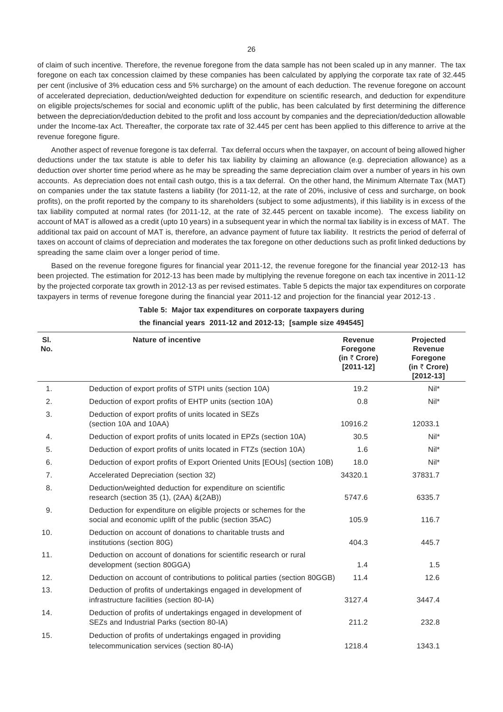of claim of such incentive*.* Therefore, the revenue foregone from the data sample has not been scaled up in any manner. The tax foregone on each tax concession claimed by these companies has been calculated by applying the corporate tax rate of 32.445 per cent (inclusive of 3% education cess and 5% surcharge) on the amount of each deduction. The revenue foregone on account of accelerated depreciation, deduction/weighted deduction for expenditure on scientific research, and deduction for expenditure on eligible projects/schemes for social and economic uplift of the public, has been calculated by first determining the difference between the depreciation/deduction debited to the profit and loss account by companies and the depreciation/deduction allowable under the Income-tax Act. Thereafter, the corporate tax rate of 32.445 per cent has been applied to this difference to arrive at the revenue foregone figure.

Another aspect of revenue foregone is tax deferral. Tax deferral occurs when the taxpayer, on account of being allowed higher deductions under the tax statute is able to defer his tax liability by claiming an allowance (e.g. depreciation allowance) as a deduction over shorter time period where as he may be spreading the same depreciation claim over a number of years in his own accounts. As depreciation does not entail cash outgo, this is a tax deferral. On the other hand, the Minimum Alternate Tax (MAT) on companies under the tax statute fastens a liability (for 2011-12, at the rate of 20%, inclusive of cess and surcharge, on book profits), on the profit reported by the company to its shareholders (subject to some adjustments), if this liability is in excess of the tax liability computed at normal rates (for 2011-12, at the rate of 32.445 percent on taxable income). The excess liability on account of MAT is allowed as a credit (upto 10 years) in a subsequent year in which the normal tax liability is in excess of MAT. The additional tax paid on account of MAT is, therefore, an advance payment of future tax liability. It restricts the period of deferral of taxes on account of claims of depreciation and moderates the tax foregone on other deductions such as profit linked deductions by spreading the same claim over a longer period of time.

Based on the revenue foregone figures for financial year 2011-12, the revenue foregone for the financial year 2012-13 has been projected. The estimation for 2012-13 has been made by multiplying the revenue foregone on each tax incentive in 2011-12 by the projected corporate tax growth in 2012-13 as per revised estimates. Table 5 depicts the major tax expenditures on corporate taxpayers in terms of revenue foregone during the financial year 2011-12 and projection for the financial year 2012-13 .

| SI.<br>No.     | <b>Nature of incentive</b>                                                                                                   | <b>Revenue</b><br>Foregone<br>(in $\bar{\tau}$ Crore)<br>$[2011 - 12]$ | Projected<br><b>Revenue</b><br>Foregone<br>(in $\bar{\tau}$ Crore)<br>$[2012 - 13]$ |
|----------------|------------------------------------------------------------------------------------------------------------------------------|------------------------------------------------------------------------|-------------------------------------------------------------------------------------|
| 1.             | Deduction of export profits of STPI units (section 10A)                                                                      | 19.2                                                                   | $Nil^*$                                                                             |
| 2.             | Deduction of export profits of EHTP units (section 10A)                                                                      | 0.8                                                                    | $Nil^*$                                                                             |
| 3.             | Deduction of export profits of units located in SEZs<br>(section 10A and 10AA)                                               | 10916.2                                                                | 12033.1                                                                             |
| 4.             | Deduction of export profits of units located in EPZs (section 10A)                                                           | 30.5                                                                   | $Nil^*$                                                                             |
| 5.             | Deduction of export profits of units located in FTZs (section 10A)                                                           | 1.6                                                                    | $Nil^*$                                                                             |
| 6.             | Deduction of export profits of Export Oriented Units [EOUs] (section 10B)                                                    | 18.0                                                                   | $Nil^*$                                                                             |
| 7 <sub>1</sub> | Accelerated Depreciation (section 32)                                                                                        | 34320.1                                                                | 37831.7                                                                             |
| 8.             | Deduction/weighted deduction for expenditure on scientific<br>research (section 35 (1), (2AA) &(2AB))                        | 5747.6                                                                 | 6335.7                                                                              |
| 9.             | Deduction for expenditure on eligible projects or schemes for the<br>social and economic uplift of the public (section 35AC) | 105.9                                                                  | 116.7                                                                               |
| 10.            | Deduction on account of donations to charitable trusts and<br>institutions (section 80G)                                     | 404.3                                                                  | 445.7                                                                               |
| 11.            | Deduction on account of donations for scientific research or rural<br>development (section 80GGA)                            | 1.4                                                                    | 1.5                                                                                 |
| 12.            | Deduction on account of contributions to political parties (section 80GGB)                                                   | 11.4                                                                   | 12.6                                                                                |
| 13.            | Deduction of profits of undertakings engaged in development of<br>infrastructure facilities (section 80-IA)                  | 3127.4                                                                 | 3447.4                                                                              |
| 14.            | Deduction of profits of undertakings engaged in development of<br>SEZs and Industrial Parks (section 80-IA)                  | 211.2                                                                  | 232.8                                                                               |
| 15.            | Deduction of profits of undertakings engaged in providing<br>telecommunication services (section 80-IA)                      | 1218.4                                                                 | 1343.1                                                                              |

**Table 5: Major tax expenditures on corporate taxpayers during the financial years 2011-12 and 2012-13; [sample size 494545]**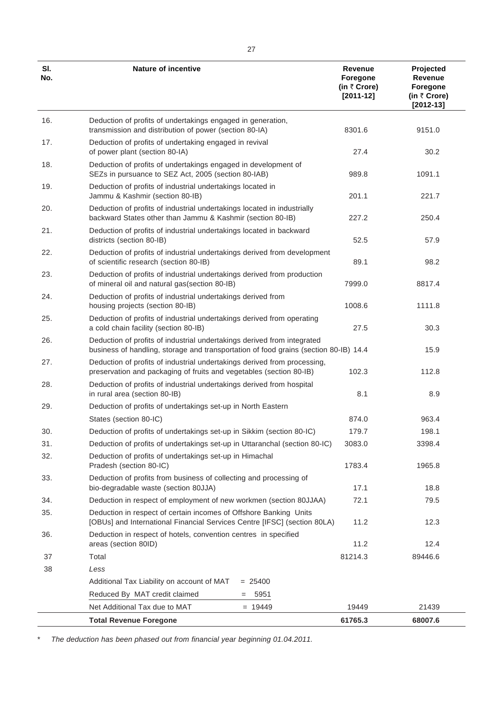| SI.<br>No. | <b>Nature of incentive</b>                                                                                                                                      | Revenue<br>Foregone<br>(in $\bar{\tau}$ Crore)<br>$[2011-12]$ | Projected<br>Revenue<br><b>Foregone</b><br>(in ₹ Crore)<br>$[2012 - 13]$ |
|------------|-----------------------------------------------------------------------------------------------------------------------------------------------------------------|---------------------------------------------------------------|--------------------------------------------------------------------------|
| 16.        | Deduction of profits of undertakings engaged in generation,<br>transmission and distribution of power (section 80-IA)                                           | 8301.6                                                        | 9151.0                                                                   |
| 17.        | Deduction of profits of undertaking engaged in revival<br>of power plant (section 80-IA)                                                                        | 27.4                                                          | 30.2                                                                     |
| 18.        | Deduction of profits of undertakings engaged in development of<br>SEZs in pursuance to SEZ Act, 2005 (section 80-IAB)                                           | 989.8                                                         | 1091.1                                                                   |
| 19.        | Deduction of profits of industrial undertakings located in<br>Jammu & Kashmir (section 80-IB)                                                                   | 201.1                                                         | 221.7                                                                    |
| 20.        | Deduction of profits of industrial undertakings located in industrially<br>backward States other than Jammu & Kashmir (section 80-IB)                           | 227.2                                                         | 250.4                                                                    |
| 21.        | Deduction of profits of industrial undertakings located in backward<br>districts (section 80-IB)                                                                | 52.5                                                          | 57.9                                                                     |
| 22.        | Deduction of profits of industrial undertakings derived from development<br>of scientific research (section 80-IB)                                              | 89.1                                                          | 98.2                                                                     |
| 23.        | Deduction of profits of industrial undertakings derived from production<br>of mineral oil and natural gas(section 80-IB)                                        | 7999.0                                                        | 8817.4                                                                   |
| 24.        | Deduction of profits of industrial undertakings derived from<br>housing projects (section 80-IB)                                                                | 1008.6                                                        | 1111.8                                                                   |
| 25.        | Deduction of profits of industrial undertakings derived from operating<br>a cold chain facility (section 80-IB)                                                 | 27.5                                                          | 30.3                                                                     |
| 26.        | Deduction of profits of industrial undertakings derived from integrated<br>business of handling, storage and transportation of food grains (section 80-IB) 14.4 |                                                               | 15.9                                                                     |
| 27.        | Deduction of profits of industrial undertakings derived from processing,<br>preservation and packaging of fruits and vegetables (section 80-IB)                 | 102.3                                                         | 112.8                                                                    |
| 28.        | Deduction of profits of industrial undertakings derived from hospital<br>in rural area (section 80-IB)                                                          | 8.1                                                           | 8.9                                                                      |
| 29.        | Deduction of profits of undertakings set-up in North Eastern                                                                                                    |                                                               |                                                                          |
|            | States (section 80-IC)                                                                                                                                          | 874.0                                                         | 963.4                                                                    |
| 30.        | Deduction of profits of undertakings set-up in Sikkim (section 80-IC)                                                                                           | 179.7                                                         | 198.1                                                                    |
| 31.        | Deduction of profits of undertakings set-up in Uttaranchal (section 80-IC)                                                                                      | 3083.0                                                        | 3398.4                                                                   |
| 32.        | Deduction of profits of undertakings set-up in Himachal<br>Pradesh (section 80-IC)                                                                              | 1783.4                                                        | 1965.8                                                                   |
| 33.        | Deduction of profits from business of collecting and processing of<br>bio-degradable waste (section 80JJA)                                                      | 17.1                                                          | 18.8                                                                     |
| 34.        | Deduction in respect of employment of new workmen (section 80JJAA)                                                                                              | 72.1                                                          | 79.5                                                                     |
| 35.        | Deduction in respect of certain incomes of Offshore Banking Units<br>[OBUs] and International Financial Services Centre [IFSC] (section 80LA)                   | 11.2                                                          | 12.3                                                                     |
| 36.        | Deduction in respect of hotels, convention centres in specified<br>areas (section 80ID)                                                                         | 11.2                                                          | 12.4                                                                     |
| 37         | Total                                                                                                                                                           | 81214.3                                                       | 89446.6                                                                  |
| 38         | Less                                                                                                                                                            |                                                               |                                                                          |
|            | Additional Tax Liability on account of MAT<br>$= 25400$                                                                                                         |                                                               |                                                                          |
|            | Reduced By MAT credit claimed<br>5951<br>$=$                                                                                                                    |                                                               |                                                                          |
|            | Net Additional Tax due to MAT<br>$= 19449$                                                                                                                      | 19449                                                         | 21439                                                                    |
|            | <b>Total Revenue Foregone</b>                                                                                                                                   | 61765.3                                                       | 68007.6                                                                  |

\* *The deduction has been phased out from financial year beginning 01.04.2011.*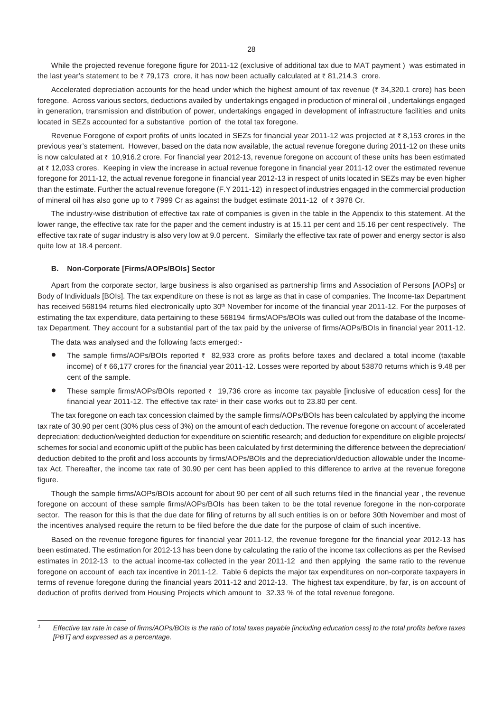While the projected revenue foregone figure for 2011-12 (exclusive of additional tax due to MAT payment ) was estimated in the last year's statement to be  $\bar{\tau}$  79,173 crore, it has now been actually calculated at  $\bar{\tau}$  81,214.3 crore.

Accelerated depreciation accounts for the head under which the highest amount of tax revenue ( $\bar{\tau}$  34,320.1 crore) has been foregone. Across various sectors, deductions availed by undertakings engaged in production of mineral oil , undertakings engaged in generation, transmission and distribution of power, undertakings engaged in development of infrastructure facilities and units located in SEZs accounted for a substantive portion of the total tax foregone.

Revenue Foregone of export profits of units located in SEZs for financial year 2011-12 was projected at  $\bar{z}$  8,153 crores in the previous year's statement. However, based on the data now available, the actual revenue foregone during 2011-12 on these units is now calculated at  $\bar{\tau}$  10,916.2 crore. For financial year 2012-13, revenue foregone on account of these units has been estimated at ₹ 12,033 crores. Keeping in view the increase in actual revenue foregone in financial year 2011-12 over the estimated revenue foregone for 2011-12, the actual revenue foregone in financial year 2012-13 in respect of units located in SEZs may be even higher than the estimate. Further the actual revenue foregone (F.Y 2011-12) in respect of industries engaged in the commercial production of mineral oil has also gone up to  $\bar{\tau}$  7999 Cr as against the budget estimate 2011-12 of  $\bar{\tau}$  3978 Cr.

The industry-wise distribution of effective tax rate of companies is given in the table in the Appendix to this statement. At the lower range, the effective tax rate for the paper and the cement industry is at 15.11 per cent and 15.16 per cent respectively. The effective tax rate of sugar industry is also very low at 9.0 percent. Similarly the effective tax rate of power and energy sector is also quite low at 18.4 percent.

#### **B. Non-Corporate [Firms/AOPs/BOIs] Sector**

Apart from the corporate sector, large business is also organised as partnership firms and Association of Persons [AOPs] or Body of Individuals [BOIs]. The tax expenditure on these is not as large as that in case of companies. The Income-tax Department has received 568194 returns filed electronically upto 30<sup>th</sup> November for income of the financial year 2011-12. For the purposes of estimating the tax expenditure, data pertaining to these 568194 firms/AOPs/BOIs was culled out from the database of the Incometax Department. They account for a substantial part of the tax paid by the universe of firms/AOPs/BOIs in financial year 2011-12.

The data was analysed and the following facts emerged:-

- The sample firms/AOPs/BOIs reported  $\bar{\tau}$  82,933 crore as profits before taxes and declared a total income (taxable income) of ` 66,177 crores for the financial year 2011-12. Losses were reported by about 53870 returns which is 9.48 per cent of the sample.
- These sample firms/AOPs/BOIs reported  $\bar{\tau}$  19,736 crore as income tax payable [inclusive of education cess] for the financial year 2011-12. The effective tax rate<sup>1</sup> in their case works out to 23.80 per cent.

The tax foregone on each tax concession claimed by the sample firms/AOPs/BOIs has been calculated by applying the income tax rate of 30.90 per cent (30% plus cess of 3%) on the amount of each deduction. The revenue foregone on account of accelerated depreciation; deduction/weighted deduction for expenditure on scientific research; and deduction for expenditure on eligible projects/ schemes for social and economic uplift of the public has been calculated by first determining the difference between the depreciation/ deduction debited to the profit and loss accounts by firms/AOPs/BOIs and the depreciation/deduction allowable under the Incometax Act. Thereafter, the income tax rate of 30.90 per cent has been applied to this difference to arrive at the revenue foregone figure.

Though the sample firms/AOPs/BOIs account for about 90 per cent of all such returns filed in the financial year , the revenue foregone on account of these sample firms/AOPs/BOIs has been taken to be the total revenue foregone in the non-corporate sector. The reason for this is that the due date for filing of returns by all such entities is on or before 30th November and most of the incentives analysed require the return to be filed before the due date for the purpose of claim of such incentive.

Based on the revenue foregone figures for financial year 2011-12, the revenue foregone for the financial year 2012-13 has been estimated. The estimation for 2012-13 has been done by calculating the ratio of the income tax collections as per the Revised estimates in 2012-13 to the actual income-tax collected in the year 2011-12 and then applying the same ratio to the revenue foregone on account of each tax incentive in 2011-12. Table 6 depicts the major tax expenditures on non-corporate taxpayers in terms of revenue foregone during the financial years 2011-12 and 2012-13. The highest tax expenditure, by far, is on account of deduction of profits derived from Housing Projects which amount to 32.33 % of the total revenue foregone.

*<sup>1</sup> Effective tax rate in case of firms/AOPs/BOIs is the ratio of total taxes payable [including education cess] to the total profits before taxes [PBT] and expressed as a percentage.*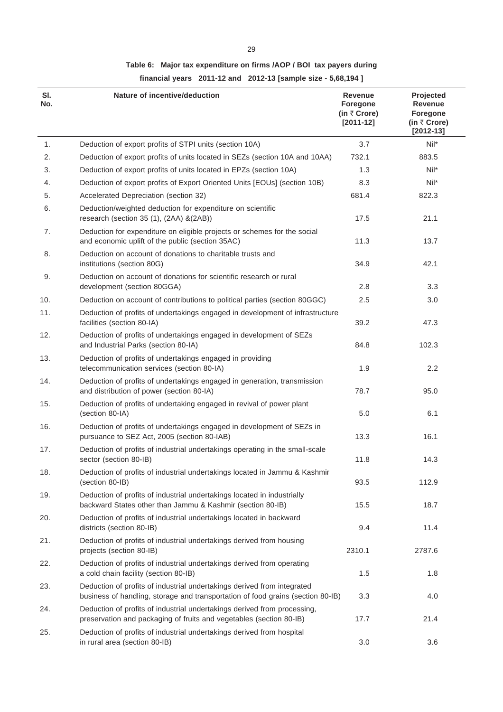# **Table 6: Major tax expenditure on firms /AOP / BOI tax payers during**

**financial years 2011-12 and 2012-13 [sample size - 5,68,194 ]**

| SI.<br>No. | Nature of incentive/deduction                                                                                                                              | <b>Revenue</b><br>Foregone<br>(in $\bar{\tau}$ Crore)<br>$[2011 - 12]$ | Projected<br>Revenue<br><b>Foregone</b><br>(in ₹ Crore)<br>$[2012 - 13]$ |
|------------|------------------------------------------------------------------------------------------------------------------------------------------------------------|------------------------------------------------------------------------|--------------------------------------------------------------------------|
| 1.         | Deduction of export profits of STPI units (section 10A)                                                                                                    | 3.7                                                                    | $Nil^*$                                                                  |
| 2.         | Deduction of export profits of units located in SEZs (section 10A and 10AA)                                                                                | 732.1                                                                  | 883.5                                                                    |
| 3.         | Deduction of export profits of units located in EPZs (section 10A)                                                                                         | 1.3                                                                    | Nil*                                                                     |
| 4.         | Deduction of export profits of Export Oriented Units [EOUs] (section 10B)                                                                                  | 8.3                                                                    | Nil*                                                                     |
| 5.         | Accelerated Depreciation (section 32)                                                                                                                      | 681.4                                                                  | 822.3                                                                    |
| 6.         | Deduction/weighted deduction for expenditure on scientific<br>research (section 35 (1), (2AA) &(2AB))                                                      | 17.5                                                                   | 21.1                                                                     |
| 7.         | Deduction for expenditure on eligible projects or schemes for the social<br>and economic uplift of the public (section 35AC)                               | 11.3                                                                   | 13.7                                                                     |
| 8.         | Deduction on account of donations to charitable trusts and<br>institutions (section 80G)                                                                   | 34.9                                                                   | 42.1                                                                     |
| 9.         | Deduction on account of donations for scientific research or rural<br>development (section 80GGA)                                                          | 2.8                                                                    | 3.3                                                                      |
| 10.        | Deduction on account of contributions to political parties (section 80GGC)                                                                                 | 2.5                                                                    | 3.0                                                                      |
| 11.        | Deduction of profits of undertakings engaged in development of infrastructure<br>facilities (section 80-IA)                                                | 39.2                                                                   | 47.3                                                                     |
| 12.        | Deduction of profits of undertakings engaged in development of SEZs<br>and Industrial Parks (section 80-IA)                                                | 84.8                                                                   | 102.3                                                                    |
| 13.        | Deduction of profits of undertakings engaged in providing<br>telecommunication services (section 80-IA)                                                    | 1.9                                                                    | 2.2                                                                      |
| 14.        | Deduction of profits of undertakings engaged in generation, transmission<br>and distribution of power (section 80-IA)                                      | 78.7                                                                   | 95.0                                                                     |
| 15.        | Deduction of profits of undertaking engaged in revival of power plant<br>(section 80-IA)                                                                   | 5.0                                                                    | 6.1                                                                      |
| 16.        | Deduction of profits of undertakings engaged in development of SEZs in<br>pursuance to SEZ Act, 2005 (section 80-IAB)                                      | 13.3                                                                   | 16.1                                                                     |
| 17.        | Deduction of profits of industrial undertakings operating in the small-scale<br>sector (section 80-IB)                                                     | 11.8                                                                   | 14.3                                                                     |
| 18.        | Deduction of profits of industrial undertakings located in Jammu & Kashmir<br>(section 80-IB)                                                              | 93.5                                                                   | 112.9                                                                    |
| 19.        | Deduction of profits of industrial undertakings located in industrially<br>backward States other than Jammu & Kashmir (section 80-IB)                      | 15.5                                                                   | 18.7                                                                     |
| 20.        | Deduction of profits of industrial undertakings located in backward<br>districts (section 80-IB)                                                           | 9.4                                                                    | 11.4                                                                     |
| 21.        | Deduction of profits of industrial undertakings derived from housing<br>projects (section 80-IB)                                                           | 2310.1                                                                 | 2787.6                                                                   |
| 22.        | Deduction of profits of industrial undertakings derived from operating<br>a cold chain facility (section 80-IB)                                            | 1.5                                                                    | 1.8                                                                      |
| 23.        | Deduction of profits of industrial undertakings derived from integrated<br>business of handling, storage and transportation of food grains (section 80-IB) | 3.3                                                                    | 4.0                                                                      |
| 24.        | Deduction of profits of industrial undertakings derived from processing,<br>preservation and packaging of fruits and vegetables (section 80-IB)            | 17.7                                                                   | 21.4                                                                     |
| 25.        | Deduction of profits of industrial undertakings derived from hospital<br>in rural area (section 80-IB)                                                     | 3.0                                                                    | 3.6                                                                      |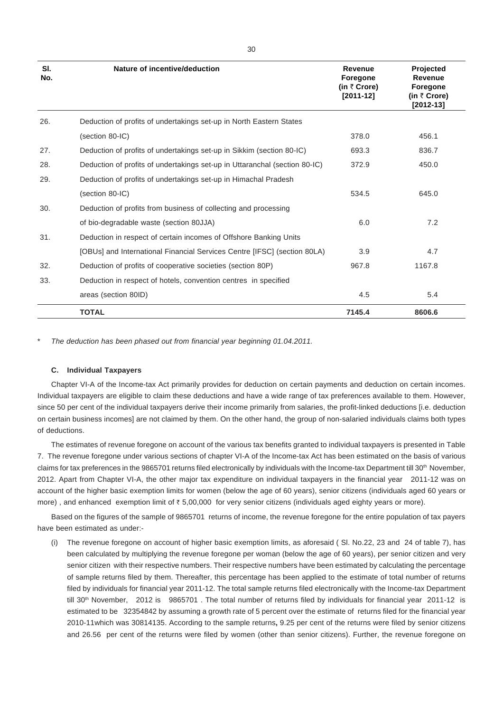| SI.<br>No. | Nature of incentive/deduction                                              | <b>Revenue</b><br><b>Foregone</b><br>(in $\bar{\tau}$ Crore)<br>$[2011 - 12]$ | Projected<br><b>Revenue</b><br>Foregone<br>(in $\bar{\tau}$ Crore)<br>$[2012 - 13]$ |
|------------|----------------------------------------------------------------------------|-------------------------------------------------------------------------------|-------------------------------------------------------------------------------------|
| 26.        | Deduction of profits of undertakings set-up in North Eastern States        |                                                                               |                                                                                     |
|            | (section 80-IC)                                                            | 378.0                                                                         | 456.1                                                                               |
| 27.        | Deduction of profits of undertakings set-up in Sikkim (section 80-IC)      | 693.3                                                                         | 836.7                                                                               |
| 28.        | Deduction of profits of undertakings set-up in Uttaranchal (section 80-IC) | 372.9                                                                         | 450.0                                                                               |
| 29.        | Deduction of profits of undertakings set-up in Himachal Pradesh            |                                                                               |                                                                                     |
|            | (section 80-IC)                                                            | 534.5                                                                         | 645.0                                                                               |
| 30.        | Deduction of profits from business of collecting and processing            |                                                                               |                                                                                     |
|            | of bio-degradable waste (section 80JJA)                                    | 6.0                                                                           | 7.2                                                                                 |
| 31.        | Deduction in respect of certain incomes of Offshore Banking Units          |                                                                               |                                                                                     |
|            | [OBUs] and International Financial Services Centre [IFSC] (section 80LA)   | 3.9                                                                           | 4.7                                                                                 |
| 32.        | Deduction of profits of cooperative societies (section 80P)                | 967.8                                                                         | 1167.8                                                                              |
| 33.        | Deduction in respect of hotels, convention centres in specified            |                                                                               |                                                                                     |
|            | areas (section 80ID)                                                       | 4.5                                                                           | 5.4                                                                                 |
|            | <b>TOTAL</b>                                                               | 7145.4                                                                        | 8606.6                                                                              |

The deduction has been phased out from financial year beginning 01.04.2011.

#### **C. Individual Taxpayers**

Chapter VI-A of the Income-tax Act primarily provides for deduction on certain payments and deduction on certain incomes. Individual taxpayers are eligible to claim these deductions and have a wide range of tax preferences available to them. However, since 50 per cent of the individual taxpayers derive their income primarily from salaries, the profit-linked deductions [i.e. deduction on certain business incomes] are not claimed by them. On the other hand, the group of non-salaried individuals claims both types of deductions.

The estimates of revenue foregone on account of the various tax benefits granted to individual taxpayers is presented in Table 7. The revenue foregone under various sections of chapter VI-A of the Income-tax Act has been estimated on the basis of various claims for tax preferences in the 9865701 returns filed electronically by individuals with the Income-tax Department till 30<sup>th</sup> November, 2012. Apart from Chapter VI-A, the other major tax expenditure on individual taxpayers in the financial year 2011-12 was on account of the higher basic exemption limits for women (below the age of 60 years), senior citizens (individuals aged 60 years or more), and enhanced exemption limit of  $\bar{\tau}$  5,00,000 for very senior citizens (individuals aged eighty years or more).

Based on the figures of the sample of 9865701 returns of income, the revenue foregone for the entire population of tax payers have been estimated as under:-

(i) The revenue foregone on account of higher basic exemption limits, as aforesaid ( Sl. No.22, 23 and 24 of table 7), has been calculated by multiplying the revenue foregone per woman (below the age of 60 years), per senior citizen and very senior citizen with their respective numbers. Their respective numbers have been estimated by calculating the percentage of sample returns filed by them. Thereafter, this percentage has been applied to the estimate of total number of returns filed by individuals for financial year 2011-12. The total sample returns filed electronically with the Income-tax Department till 30<sup>th</sup> November, 2012 is 9865701. The total number of returns filed by individuals for financial year 2011-12 is estimated to be 32354842 by assuming a growth rate of 5 percent over the estimate of returns filed for the financial year 2010-11which was 30814135. According to the sample returns**,** 9.25 per cent of the returns were filed by senior citizens and 26.56 per cent of the returns were filed by women (other than senior citizens). Further, the revenue foregone on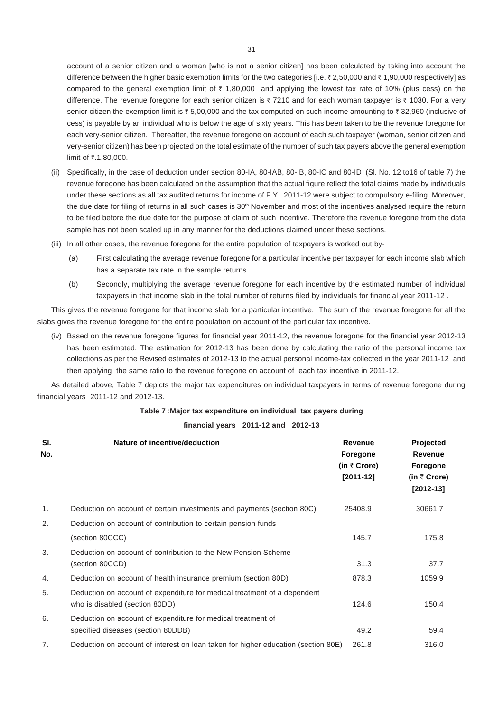account of a senior citizen and a woman [who is not a senior citizen] has been calculated by taking into account the difference between the higher basic exemption limits for the two categories [i.e.  $\bar{\tau}$  2,50,000 and  $\bar{\tau}$  1,90,000 respectively] as compared to the general exemption limit of  $\bar{\tau}$  1,80,000 and applying the lowest tax rate of 10% (plus cess) on the difference. The revenue foregone for each senior citizen is  $\bar{\tau}$  7210 and for each woman taxpayer is  $\bar{\tau}$  1030. For a very senior citizen the exemption limit is  $\bar{\zeta}$  5,00,000 and the tax computed on such income amounting to  $\bar{\zeta}$  32,960 (inclusive of cess) is payable by an individual who is below the age of sixty years. This has been taken to be the revenue foregone for each very-senior citizen. Thereafter, the revenue foregone on account of each such taxpayer (woman, senior citizen and very-senior citizen) has been projected on the total estimate of the number of such tax payers above the general exemption limit of ₹.1,80,000.

- (ii) Specifically, in the case of deduction under section 80-IA, 80-IAB, 80-IB, 80-IC and 80-ID (Sl. No. 12 to16 of table 7) the revenue foregone has been calculated on the assumption that the actual figure reflect the total claims made by individuals under these sections as all tax audited returns for income of F.Y. 2011-12 were subject to compulsory e-filing. Moreover, the due date for filing of returns in all such cases is 30<sup>th</sup> November and most of the incentives analysed require the return to be filed before the due date for the purpose of claim of such incentive. Therefore the revenue foregone from the data sample has not been scaled up in any manner for the deductions claimed under these sections.
- (iii) In all other cases, the revenue foregone for the entire population of taxpayers is worked out by-
	- (a) First calculating the average revenue foregone for a particular incentive per taxpayer for each income slab which has a separate tax rate in the sample returns.
	- (b) Secondly, multiplying the average revenue foregone for each incentive by the estimated number of individual taxpayers in that income slab in the total number of returns filed by individuals for financial year 2011-12 .

This gives the revenue foregone for that income slab for a particular incentive. The sum of the revenue foregone for all the slabs gives the revenue foregone for the entire population on account of the particular tax incentive.

(iv) Based on the revenue foregone figures for financial year 2011-12, the revenue foregone for the financial year 2012-13 has been estimated. The estimation for 2012-13 has been done by calculating the ratio of the personal income tax collections as per the Revised estimates of 2012-13 to the actual personal income-tax collected in the year 2011-12 and then applying the same ratio to the revenue foregone on account of each tax incentive in 2011-12.

As detailed above, Table 7 depicts the major tax expenditures on individual taxpayers in terms of revenue foregone during financial years 2011-12 and 2012-13.

| SI.<br>No. | Nature of incentive/deduction                                                                              | <b>Revenue</b><br>Foregone<br>(in $\bar{\tau}$ Crore)<br>$[2011-12]$ | Projected<br><b>Revenue</b><br>Foregone<br>(in $\bar{\tau}$ Crore)<br>$[2012 - 13]$ |
|------------|------------------------------------------------------------------------------------------------------------|----------------------------------------------------------------------|-------------------------------------------------------------------------------------|
| 1.         | Deduction on account of certain investments and payments (section 80C)                                     | 25408.9                                                              | 30661.7                                                                             |
| 2.         | Deduction on account of contribution to certain pension funds                                              |                                                                      |                                                                                     |
|            | (section 80CCC)                                                                                            | 145.7                                                                | 175.8                                                                               |
| 3.         | Deduction on account of contribution to the New Pension Scheme<br>(section 80CCD)                          | 31.3                                                                 | 37.7                                                                                |
| 4.         | Deduction on account of health insurance premium (section 80D)                                             | 878.3                                                                | 1059.9                                                                              |
| 5.         | Deduction on account of expenditure for medical treatment of a dependent<br>who is disabled (section 80DD) | 124.6                                                                | 150.4                                                                               |
| 6.         | Deduction on account of expenditure for medical treatment of<br>specified diseases (section 80DDB)         | 49.2                                                                 | 59.4                                                                                |
| 7.         | Deduction on account of interest on loan taken for higher education (section 80E)                          | 261.8                                                                | 316.0                                                                               |

## **Table 7** :**Major tax expenditure on individual tax payers during**

**financial years 2011-12 and 2012-13**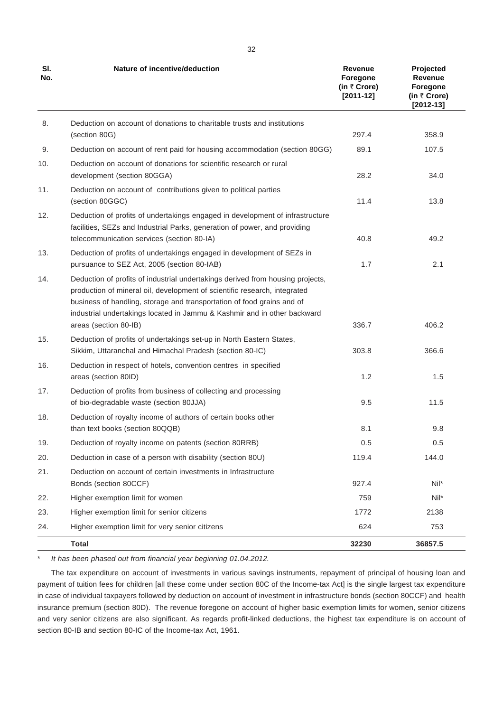| SI.<br>No. | Nature of incentive/deduction                                                                                                                                                                                                                                                                                                              | <b>Revenue</b><br>Foregone<br>(in $\bar{\tau}$ Crore)<br>$[2011-12]$ | Projected<br>Revenue<br>Foregone<br>(in ₹ Crore)<br>$[2012 - 13]$ |
|------------|--------------------------------------------------------------------------------------------------------------------------------------------------------------------------------------------------------------------------------------------------------------------------------------------------------------------------------------------|----------------------------------------------------------------------|-------------------------------------------------------------------|
| 8.         | Deduction on account of donations to charitable trusts and institutions<br>(section 80G)                                                                                                                                                                                                                                                   | 297.4                                                                | 358.9                                                             |
| 9.         |                                                                                                                                                                                                                                                                                                                                            | 89.1                                                                 | 107.5                                                             |
|            | Deduction on account of rent paid for housing accommodation (section 80GG)<br>Deduction on account of donations for scientific research or rural                                                                                                                                                                                           |                                                                      |                                                                   |
| 10.        | development (section 80GGA)                                                                                                                                                                                                                                                                                                                | 28.2                                                                 | 34.0                                                              |
| 11.        | Deduction on account of contributions given to political parties<br>(section 80GGC)                                                                                                                                                                                                                                                        | 11.4                                                                 | 13.8                                                              |
| 12.        | Deduction of profits of undertakings engaged in development of infrastructure<br>facilities, SEZs and Industrial Parks, generation of power, and providing<br>telecommunication services (section 80-IA)                                                                                                                                   | 40.8                                                                 | 49.2                                                              |
| 13.        | Deduction of profits of undertakings engaged in development of SEZs in<br>pursuance to SEZ Act, 2005 (section 80-IAB)                                                                                                                                                                                                                      | 1.7                                                                  | 2.1                                                               |
| 14.        | Deduction of profits of industrial undertakings derived from housing projects,<br>production of mineral oil, development of scientific research, integrated<br>business of handling, storage and transportation of food grains and of<br>industrial undertakings located in Jammu & Kashmir and in other backward<br>areas (section 80-IB) | 336.7                                                                | 406.2                                                             |
| 15.        | Deduction of profits of undertakings set-up in North Eastern States,<br>Sikkim, Uttaranchal and Himachal Pradesh (section 80-IC)                                                                                                                                                                                                           | 303.8                                                                | 366.6                                                             |
| 16.        | Deduction in respect of hotels, convention centres in specified<br>areas (section 80ID)                                                                                                                                                                                                                                                    | 1.2                                                                  | 1.5                                                               |
| 17.        | Deduction of profits from business of collecting and processing                                                                                                                                                                                                                                                                            |                                                                      |                                                                   |
|            | of bio-degradable waste (section 80JJA)                                                                                                                                                                                                                                                                                                    | 9.5                                                                  | 11.5                                                              |
| 18.        | Deduction of royalty income of authors of certain books other<br>than text books (section 80QQB)                                                                                                                                                                                                                                           | 8.1                                                                  | 9.8                                                               |
| 19.        | Deduction of royalty income on patents (section 80RRB)                                                                                                                                                                                                                                                                                     | 0.5                                                                  | 0.5                                                               |
| 20.        | Deduction in case of a person with disability (section 80U)                                                                                                                                                                                                                                                                                | 119.4                                                                | 144.0                                                             |
| 21.        | Deduction on account of certain investments in Infrastructure<br>Bonds (section 80CCF)                                                                                                                                                                                                                                                     | 927.4                                                                | Nil*                                                              |
| 22.        | Higher exemption limit for women                                                                                                                                                                                                                                                                                                           | 759                                                                  | Nil*                                                              |
| 23.        | Higher exemption limit for senior citizens                                                                                                                                                                                                                                                                                                 | 1772                                                                 | 2138                                                              |
| 24.        | Higher exemption limit for very senior citizens                                                                                                                                                                                                                                                                                            | 624                                                                  | 753                                                               |
|            | <b>Total</b>                                                                                                                                                                                                                                                                                                                               | 32230                                                                | 36857.5                                                           |

\* *It has been phased out from financial year beginning 01.04.2012.*

The tax expenditure on account of investments in various savings instruments, repayment of principal of housing loan and payment of tuition fees for children [all these come under section 80C of the Income-tax Act] is the single largest tax expenditure in case of individual taxpayers followed by deduction on account of investment in infrastructure bonds (section 80CCF) and health insurance premium (section 80D). The revenue foregone on account of higher basic exemption limits for women, senior citizens and very senior citizens are also significant. As regards profit-linked deductions, the highest tax expenditure is on account of section 80-IB and section 80-IC of the Income-tax Act, 1961.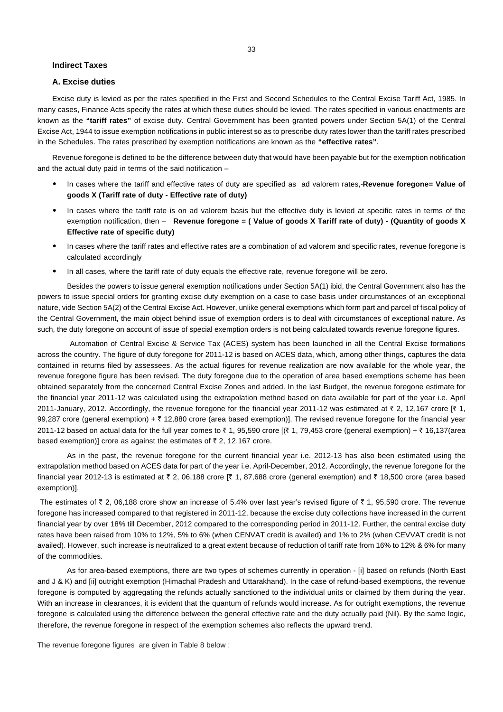#### **Indirect Taxes**

#### **A. Excise duties**

Excise duty is levied as per the rates specified in the First and Second Schedules to the Central Excise Tariff Act, 1985. In many cases, Finance Acts specify the rates at which these duties should be levied. The rates specified in various enactments are known as the **"tariff rates"** of excise duty. Central Government has been granted powers under Section 5A(1) of the Central Excise Act, 1944 to issue exemption notifications in public interest so as to prescribe duty rates lower than the tariff rates prescribed in the Schedules. The rates prescribed by exemption notifications are known as the **"effective rates"**.

Revenue foregone is defined to be the difference between duty that would have been payable but for the exemption notification and the actual duty paid in terms of the said notification –

- In cases where the tariff and effective rates of duty are specified as ad valorem rates,-**Revenue foregone= Value of goods X (Tariff rate of duty - Effective rate of duty)**
- In cases where the tariff rate is on ad valorem basis but the effective duty is levied at specific rates in terms of the exemption notification, then – **Revenue foregone = ( Value of goods X Tariff rate of duty) - (Quantity of goods X Effective rate of specific duty)**
- In cases where the tariff rates and effective rates are a combination of ad valorem and specific rates, revenue foregone is calculated accordingly
- In all cases, where the tariff rate of duty equals the effective rate, revenue foregone will be zero.

Besides the powers to issue general exemption notifications under Section 5A(1) ibid, the Central Government also has the powers to issue special orders for granting excise duty exemption on a case to case basis under circumstances of an exceptional nature, vide Section 5A(2) of the Central Excise Act. However, unlike general exemptions which form part and parcel of fiscal policy of the Central Government, the main object behind issue of exemption orders is to deal with circumstances of exceptional nature. As such, the duty foregone on account of issue of special exemption orders is not being calculated towards revenue foregone figures.

 Automation of Central Excise & Service Tax (ACES) system has been launched in all the Central Excise formations across the country. The figure of duty foregone for 2011-12 is based on ACES data, which, among other things, captures the data contained in returns filed by assessees. As the actual figures for revenue realization are now available for the whole year, the revenue foregone figure has been revised. The duty foregone due to the operation of area based exemptions scheme has been obtained separately from the concerned Central Excise Zones and added. In the last Budget, the revenue foregone estimate for the financial year 2011-12 was calculated using the extrapolation method based on data available for part of the year i.e. April 2011-January, 2012. Accordingly, the revenue foregone for the financial year 2011-12 was estimated at  $\bar{\tau}$  2, 12,167 crore [ $\bar{\tau}$  1, 99,287 crore (general exemption) +  $\bar{\tau}$  12,880 crore (area based exemption)]. The revised revenue foregone for the financial year 2011-12 based on actual data for the full year comes to ₹1, 95,590 crore [(₹1, 79,453 crore (general exemption) + ₹16,137(area based exemption)] crore as against the estimates of  $\bar{\tau}$  2, 12,167 crore.

As in the past, the revenue foregone for the current financial year i.e. 2012-13 has also been estimated using the extrapolation method based on ACES data for part of the year i.e. April-December, 2012. Accordingly, the revenue foregone for the financial year 2012-13 is estimated at  $\bar{\tau}$  2, 06,188 crore [ $\bar{\tau}$  1, 87,688 crore (general exemption) and  $\bar{\tau}$  18,500 crore (area based exemption)].

The estimates of  $\bar{\tau}$  2, 06,188 crore show an increase of 5.4% over last year's revised figure of  $\bar{\tau}$  1, 95,590 crore. The revenue foregone has increased compared to that registered in 2011-12, because the excise duty collections have increased in the current financial year by over 18% till December, 2012 compared to the corresponding period in 2011-12. Further, the central excise duty rates have been raised from 10% to 12%, 5% to 6% (when CENVAT credit is availed) and 1% to 2% (when CEVVAT credit is not availed). However, such increase is neutralized to a great extent because of reduction of tariff rate from 16% to 12% & 6% for many of the commodities.

As for area-based exemptions, there are two types of schemes currently in operation - [i] based on refunds (North East and J & K) and [ii] outright exemption (Himachal Pradesh and Uttarakhand). In the case of refund-based exemptions, the revenue foregone is computed by aggregating the refunds actually sanctioned to the individual units or claimed by them during the year. With an increase in clearances, it is evident that the quantum of refunds would increase. As for outright exemptions, the revenue foregone is calculated using the difference between the general effective rate and the duty actually paid (Nil). By the same logic, therefore, the revenue foregone in respect of the exemption schemes also reflects the upward trend.

The revenue foregone figures are given in Table 8 below :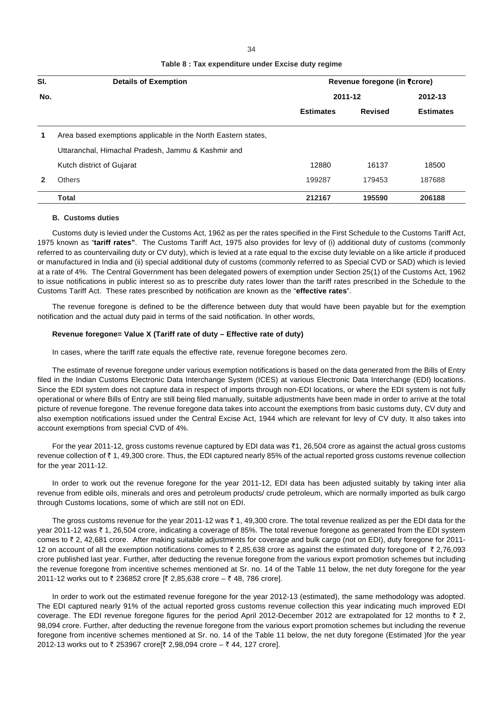| ×                 | ٠ |
|-------------------|---|
| I<br>×<br>×<br>۰. |   |

| Table 8 : Tax expenditure under Excise duty regime |  |  |
|----------------------------------------------------|--|--|
|----------------------------------------------------|--|--|

| SI. | <b>Details of Exemption</b>                                   | Revenue foregone (in ₹crore) |                |                  |
|-----|---------------------------------------------------------------|------------------------------|----------------|------------------|
| No. |                                                               | 2011-12                      |                | 2012-13          |
|     |                                                               | <b>Estimates</b>             | <b>Revised</b> | <b>Estimates</b> |
|     | Area based exemptions applicable in the North Eastern states, |                              |                |                  |
|     | Uttaranchal, Himachal Pradesh, Jammu & Kashmir and            |                              |                |                  |
|     | Kutch district of Gujarat                                     | 12880                        | 16137          | 18500            |
|     | <b>Others</b>                                                 | 199287                       | 179453         | 187688           |
|     | <b>Total</b>                                                  | 212167                       | 195590         | 206188           |

#### **B. Customs duties**

Customs duty is levied under the Customs Act, 1962 as per the rates specified in the First Schedule to the Customs Tariff Act, 1975 known as "**tariff rates"**. The Customs Tariff Act, 1975 also provides for levy of (i) additional duty of customs (commonly referred to as countervailing duty or CV duty), which is levied at a rate equal to the excise duty leviable on a like article if produced or manufactured in India and (ii) special additional duty of customs (commonly referred to as Special CVD or SAD) which is levied at a rate of 4%. The Central Government has been delegated powers of exemption under Section 25(1) of the Customs Act, 1962 to issue notifications in public interest so as to prescribe duty rates lower than the tariff rates prescribed in the Schedule to the Customs Tariff Act. These rates prescribed by notification are known as the "**effective rates**".

The revenue foregone is defined to be the difference between duty that would have been payable but for the exemption notification and the actual duty paid in terms of the said notification. In other words,

#### **Revenue foregone= Value X (Tariff rate of duty – Effective rate of duty)**

In cases, where the tariff rate equals the effective rate, revenue foregone becomes zero.

The estimate of revenue foregone under various exemption notifications is based on the data generated from the Bills of Entry filed in the Indian Customs Electronic Data Interchange System (ICES) at various Electronic Data Interchange (EDI) locations. Since the EDI system does not capture data in respect of imports through non-EDI locations, or where the EDI system is not fully operational or where Bills of Entry are still being filed manually, suitable adjustments have been made in order to arrive at the total picture of revenue foregone. The revenue foregone data takes into account the exemptions from basic customs duty, CV duty and also exemption notifications issued under the Central Excise Act, 1944 which are relevant for levy of CV duty. It also takes into account exemptions from special CVD of 4%.

For the year 2011-12, gross customs revenue captured by EDI data was  $\bar{z}$ 1, 26,504 crore as against the actual gross customs revenue collection of ₹ 1, 49,300 crore. Thus, the EDI captured nearly 85% of the actual reported gross customs revenue collection for the year 2011-12.

In order to work out the revenue foregone for the year 2011-12, EDI data has been adjusted suitably by taking inter alia revenue from edible oils, minerals and ores and petroleum products/ crude petroleum, which are normally imported as bulk cargo through Customs locations, some of which are still not on EDI.

The gross customs revenue for the year 2011-12 was  $\bar{\tau}$  1, 49,300 crore. The total revenue realized as per the EDI data for the year 2011-12 was ₹ 1, 26,504 crore, indicating a coverage of 85%. The total revenue foregone as generated from the EDI system comes to  $\bar{\tau}$  2, 42,681 crore. After making suitable adjustments for coverage and bulk cargo (not on EDI), duty foregone for 2011-12 on account of all the exemption notifications comes to  $\bar{x}$  2,85,638 crore as against the estimated duty foregone of  $\bar{x}$  2,76,093 crore published last year. Further, after deducting the revenue foregone from the various export promotion schemes but including the revenue foregone from incentive schemes mentioned at Sr. no. 14 of the Table 11 below, the net duty foregone for the year 2011-12 works out to ₹ 236852 crore  $[$ ₹ 2,85,638 crore – ₹ 48, 786 crore].

In order to work out the estimated revenue foregone for the year 2012-13 (estimated), the same methodology was adopted. The EDI captured nearly 91% of the actual reported gross customs revenue collection this year indicating much improved EDI coverage. The EDI revenue foregone figures for the period April 2012-December 2012 are extrapolated for 12 months to  $\bar{\tau}$  2, 98,094 crore. Further, after deducting the revenue foregone from the various export promotion schemes but including the revenue foregone from incentive schemes mentioned at Sr. no. 14 of the Table 11 below, the net duty foregone (Estimated )for the year 2012-13 works out to ₹ 253967 crore[₹ 2,98,094 crore – ₹ 44, 127 crore].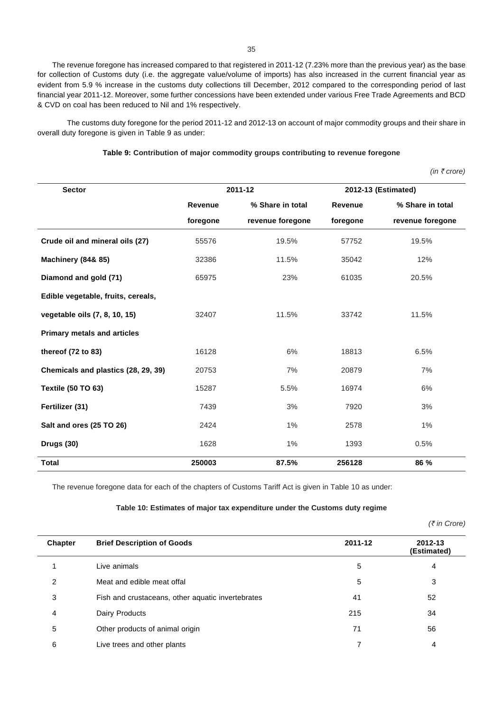The revenue foregone has increased compared to that registered in 2011-12 (7.23% more than the previous year) as the base for collection of Customs duty (i.e. the aggregate value/volume of imports) has also increased in the current financial year as evident from 5.9 % increase in the customs duty collections till December, 2012 compared to the corresponding period of last financial year 2011-12. Moreover, some further concessions have been extended under various Free Trade Agreements and BCD & CVD on coal has been reduced to Nil and 1% respectively.

The customs duty foregone for the period 2011-12 and 2012-13 on account of major commodity groups and their share in overall duty foregone is given in Table 9 as under:

## **Table 9: Contribution of major commodity groups contributing to revenue foregone**

 *(in* ` *crore)*

| <b>Sector</b>                       | 2011-12        |                  |          | 2012-13 (Estimated) |
|-------------------------------------|----------------|------------------|----------|---------------------|
|                                     | <b>Revenue</b> | % Share in total | Revenue  | % Share in total    |
|                                     | foregone       | revenue foregone | foregone | revenue foregone    |
| Crude oil and mineral oils (27)     | 55576          | 19.5%            | 57752    | 19.5%               |
| <b>Machinery (84&amp; 85)</b>       | 32386          | 11.5%            | 35042    | 12%                 |
| Diamond and gold (71)               | 65975          | 23%              | 61035    | 20.5%               |
| Edible vegetable, fruits, cereals,  |                |                  |          |                     |
| vegetable oils (7, 8, 10, 15)       | 32407          | 11.5%            | 33742    | 11.5%               |
| <b>Primary metals and articles</b>  |                |                  |          |                     |
| thereof (72 to 83)                  | 16128          | 6%               | 18813    | 6.5%                |
| Chemicals and plastics (28, 29, 39) | 20753          | 7%               | 20879    | 7%                  |
| <b>Textile (50 TO 63)</b>           | 15287          | 5.5%             | 16974    | 6%                  |
| Fertilizer (31)                     | 7439           | 3%               | 7920     | 3%                  |
| Salt and ores (25 TO 26)            | 2424           | 1%               | 2578     | 1%                  |
| Drugs (30)                          | 1628           | 1%               | 1393     | 0.5%                |
| <b>Total</b>                        | 250003         | 87.5%            | 256128   | 86 %                |

The revenue foregone data for each of the chapters of Customs Tariff Act is given in Table 10 as under:

#### **Table 10: Estimates of major tax expenditure under the Customs duty regime**

*(*` *in Crore)*

| <b>Chapter</b> | <b>Brief Description of Goods</b>                 | 2011-12 | 2012-13<br>(Estimated) |
|----------------|---------------------------------------------------|---------|------------------------|
|                | Live animals                                      | 5       | 4                      |
| 2              | Meat and edible meat offal                        | 5       | 3                      |
| 3              | Fish and crustaceans, other aquatic invertebrates | 41      | 52                     |
| 4              | Dairy Products                                    | 215     | 34                     |
| 5              | Other products of animal origin                   | 71      | 56                     |
| 6              | Live trees and other plants                       |         | 4                      |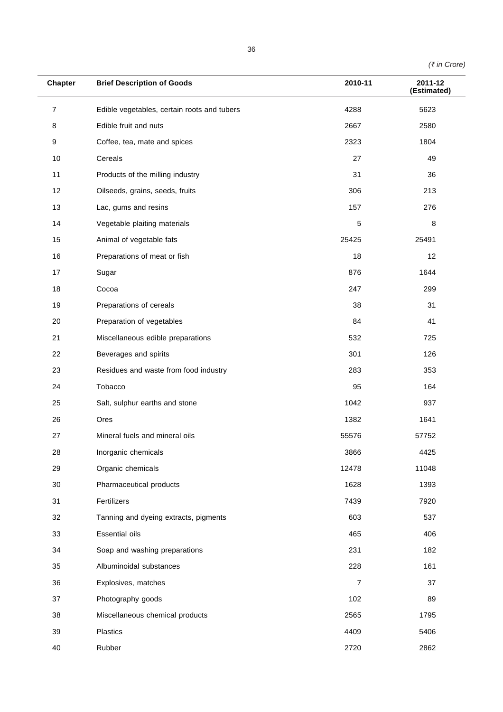*(*` *in Crore)*

| <b>Chapter</b> | <b>Brief Description of Goods</b>           | 2010-11        | 2011-12<br>(Estimated) |
|----------------|---------------------------------------------|----------------|------------------------|
| 7              | Edible vegetables, certain roots and tubers | 4288           | 5623                   |
| 8              | Edible fruit and nuts                       | 2667           | 2580                   |
| 9              | Coffee, tea, mate and spices                | 2323           | 1804                   |
| $10$           | Cereals                                     | 27             | 49                     |
| 11             | Products of the milling industry            | 31             | 36                     |
| 12             | Oilseeds, grains, seeds, fruits             | 306            | 213                    |
| 13             | Lac, gums and resins                        | 157            | 276                    |
| 14             | Vegetable plaiting materials                | 5              | 8                      |
| 15             | Animal of vegetable fats                    | 25425          | 25491                  |
| 16             | Preparations of meat or fish                | 18             | 12                     |
| 17             | Sugar                                       | 876            | 1644                   |
| 18             | Cocoa                                       | 247            | 299                    |
| 19             | Preparations of cereals                     | 38             | 31                     |
| 20             | Preparation of vegetables                   | 84             | 41                     |
| 21             | Miscellaneous edible preparations           | 532            | 725                    |
| 22             | Beverages and spirits                       | 301            | 126                    |
| 23             | Residues and waste from food industry       | 283            | 353                    |
| 24             | Tobacco                                     | 95             | 164                    |
| 25             | Salt, sulphur earths and stone              | 1042           | 937                    |
| 26             | Ores                                        | 1382           | 1641                   |
| 27             | Mineral fuels and mineral oils              | 55576          | 57752                  |
| 28             | Inorganic chemicals                         | 3866           | 4425                   |
| 29             | Organic chemicals                           | 12478          | 11048                  |
| 30             | Pharmaceutical products                     | 1628           | 1393                   |
| 31             | Fertilizers                                 | 7439           | 7920                   |
| 32             | Tanning and dyeing extracts, pigments       | 603            | 537                    |
| 33             | <b>Essential oils</b>                       | 465            | 406                    |
| 34             | Soap and washing preparations               | 231            | 182                    |
| 35             | Albuminoidal substances                     | 228            | 161                    |
| 36             | Explosives, matches                         | $\overline{7}$ | 37                     |
| 37             | Photography goods                           | 102            | 89                     |
| 38             | Miscellaneous chemical products             |                | 1795                   |
| 39             | Plastics                                    | 4409           | 5406                   |
| 40             | Rubber                                      | 2720           | 2862                   |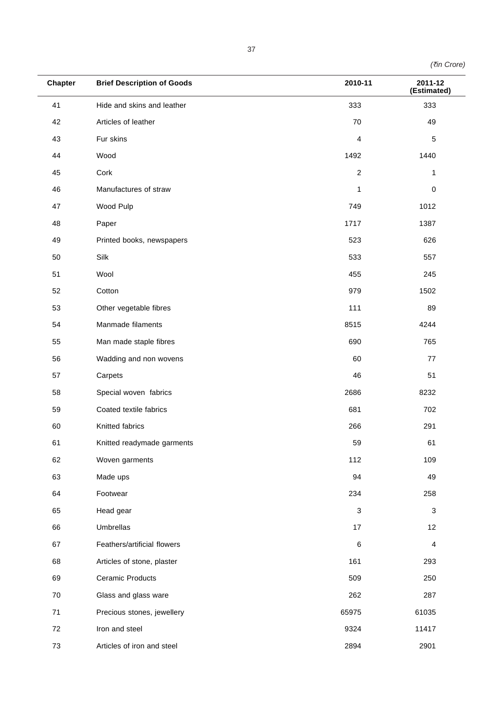|  | (₹in Crore) |
|--|-------------|
|--|-------------|

| <b>Chapter</b> | <b>Brief Description of Goods</b> | 2010-11                   | 2011-12<br>(Estimated)  |
|----------------|-----------------------------------|---------------------------|-------------------------|
| 41             | Hide and skins and leather        | 333                       | 333                     |
| 42             | Articles of leather               | 70                        | 49                      |
| 43             | Fur skins                         | 4                         | $\mathbf 5$             |
| 44             | Wood                              | 1492                      | 1440                    |
| 45             | Cork                              | $\overline{c}$            | 1                       |
| 46             | Manufactures of straw             | 1                         | $\pmb{0}$               |
| 47             | Wood Pulp                         | 749                       | 1012                    |
| 48             | Paper                             | 1717                      | 1387                    |
| 49             | Printed books, newspapers         | 523                       | 626                     |
| 50             | Silk                              | 533                       | 557                     |
| 51             | Wool                              | 455                       | 245                     |
| 52             | Cotton                            | 979                       | 1502                    |
| 53             | Other vegetable fibres            | 111                       | 89                      |
| 54             | Manmade filaments                 | 8515                      | 4244                    |
| 55             | Man made staple fibres            | 690                       | 765                     |
| 56             | Wadding and non wovens            | 60                        | 77                      |
| 57             | Carpets                           | 46                        | 51                      |
| 58             | Special woven fabrics             | 2686                      | 8232                    |
| 59             | Coated textile fabrics            | 681                       | 702                     |
| 60             | Knitted fabrics                   | 266                       | 291                     |
| 61             | Knitted readymade garments        | 59                        | 61                      |
| 62             | Woven garments                    | 112                       | 109                     |
| 63             | Made ups                          | 94                        | 49                      |
| 64             | Footwear                          | 234                       | 258                     |
| 65             | Head gear                         | $\ensuremath{\mathsf{3}}$ | $\sqrt{3}$              |
| 66             | Umbrellas                         | 17                        | 12                      |
| 67             | Feathers/artificial flowers       | 6                         | $\overline{\mathbf{4}}$ |
| 68             | Articles of stone, plaster        | 161                       | 293                     |
| 69             | <b>Ceramic Products</b>           | 509                       | 250                     |
| 70             | Glass and glass ware              | 262                       | 287                     |
| 71             | Precious stones, jewellery        | 65975                     | 61035                   |
| 72             | Iron and steel                    | 9324                      | 11417                   |
| 73             | Articles of iron and steel        | 2894                      | 2901                    |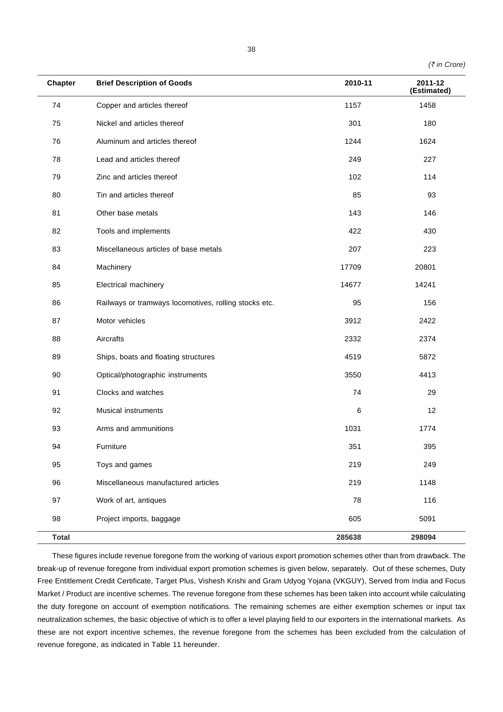|  |  | $($ ₹ in Crore) |
|--|--|-----------------|
|--|--|-----------------|

| <b>Chapter</b> | <b>Brief Description of Goods</b>                     | 2010-11 | 2011-12<br>(Estimated) |
|----------------|-------------------------------------------------------|---------|------------------------|
| 74             | Copper and articles thereof                           | 1157    | 1458                   |
| 75             | Nickel and articles thereof                           | 301     | 180                    |
| 76             | Aluminum and articles thereof                         | 1244    | 1624                   |
| 78             | Lead and articles thereof                             | 249     | 227                    |
| 79             | Zinc and articles thereof                             | 102     | 114                    |
| 80             | Tin and articles thereof                              | 85      | 93                     |
| 81             | Other base metals                                     | 143     | 146                    |
| 82             | Tools and implements                                  | 422     | 430                    |
| 83             | Miscellaneous articles of base metals                 | 207     | 223                    |
| 84             | Machinery                                             | 17709   | 20801                  |
| 85             | Electrical machinery                                  | 14677   | 14241                  |
| 86             | Railways or tramways locomotives, rolling stocks etc. | 95      | 156                    |
| 87             | Motor vehicles                                        | 3912    | 2422                   |
| 88             | Aircrafts                                             | 2332    | 2374                   |
| 89             | Ships, boats and floating structures                  | 4519    | 5872                   |
| 90             | Optical/photographic instruments                      | 3550    | 4413                   |
| 91             | Clocks and watches                                    | 74      | 29                     |
| 92             | <b>Musical instruments</b>                            | 6       | 12                     |
| 93             | Arms and ammunitions                                  | 1031    | 1774                   |
| 94             | Furniture                                             | 351     | 395                    |
| 95             | Toys and games                                        | 219     | 249                    |
| 96             | Miscellaneous manufactured articles                   | 219     | 1148                   |
| 97             | Work of art, antiques                                 | 78      | 116                    |
| 98             | Project imports, baggage                              | 605     | 5091                   |
| <b>Total</b>   |                                                       | 285638  | 298094                 |

These figures include revenue foregone from the working of various export promotion schemes other than from drawback. The break-up of revenue foregone from individual export promotion schemes is given below, separately. Out of these schemes, Duty Free Entitlement Credit Certificate, Target Plus, Vishesh Krishi and Gram Udyog Yojana (VKGUY), Served from India and Focus Market / Product are incentive schemes. The revenue foregone from these schemes has been taken into account while calculating the duty foregone on account of exemption notifications. The remaining schemes are either exemption schemes or input tax neutralization schemes, the basic objective of which is to offer a level playing field to our exporters in the international markets. As these are not export incentive schemes, the revenue foregone from the schemes has been excluded from the calculation of revenue foregone, as indicated in Table 11 hereunder.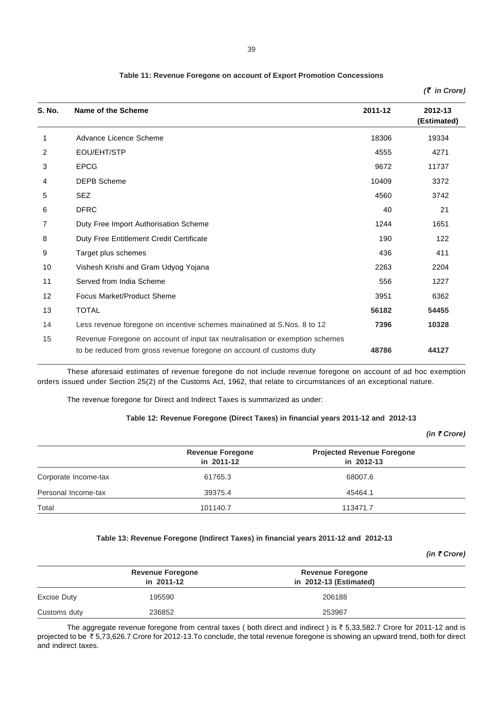| S. No. | Name of the Scheme                                                                                                                                   | 2011-12 | 2012-13<br>(Estimated) |
|--------|------------------------------------------------------------------------------------------------------------------------------------------------------|---------|------------------------|
| 1      | Advance Licence Scheme                                                                                                                               | 18306   | 19334                  |
| 2      | EOU/EHT/STP                                                                                                                                          | 4555    | 4271                   |
| 3      | <b>EPCG</b>                                                                                                                                          | 9672    | 11737                  |
| 4      | <b>DEPB Scheme</b>                                                                                                                                   | 10409   | 3372                   |
| 5      | <b>SEZ</b>                                                                                                                                           | 4560    | 3742                   |
| 6      | <b>DFRC</b>                                                                                                                                          | 40      | 21                     |
| 7      | Duty Free Import Authorisation Scheme                                                                                                                | 1244    | 1651                   |
| 8      | Duty Free Entitlement Credit Certificate                                                                                                             | 190     | 122                    |
| 9      | Target plus schemes                                                                                                                                  | 436     | 411                    |
| 10     | Vishesh Krishi and Gram Udyog Yojana                                                                                                                 | 2263    | 2204                   |
| 11     | Served from India Scheme                                                                                                                             | 556     | 1227                   |
| 12     | <b>Focus Market/Product Sheme</b>                                                                                                                    | 3951    | 6362                   |
| 13     | <b>TOTAL</b>                                                                                                                                         | 56182   | 54455                  |
| 14     | Less revenue foregone on incentive schemes mainatined at S.Nos. 8 to 12                                                                              | 7396    | 10328                  |
| 15     | Revenue Foregone on account of input tax neutralisation or exemption schemes<br>to be reduced from gross revenue foregone on account of customs duty | 48786   | 44127                  |

These aforesaid estimates of revenue foregone do not include revenue foregone on account of ad hoc exemption

orders issued under Section 25(2) of the Customs Act, 1962, that relate to circumstances of an exceptional nature.

The revenue foregone for Direct and Indirect Taxes is summarized as under:

## **Table 12: Revenue Foregone (Direct Taxes) in financial years 2011-12 and 2012-13**

|                      |                                       | (in ₹ Crore)                                    |
|----------------------|---------------------------------------|-------------------------------------------------|
|                      | <b>Revenue Foregone</b><br>in 2011-12 | <b>Projected Revenue Foregone</b><br>in 2012-13 |
| Corporate Income-tax | 61765.3                               | 68007.6                                         |
| Personal Income-tax  | 39375.4                               | 45464.1                                         |
| Total                | 101140.7                              | 113471.7                                        |

#### **Table 13: Revenue Foregone (Indirect Taxes) in financial years 2011-12 and 2012-13**

|              |                                       |                                                   | (in ₹ Crore) |  |
|--------------|---------------------------------------|---------------------------------------------------|--------------|--|
|              | <b>Revenue Foregone</b><br>in 2011-12 | <b>Revenue Foregone</b><br>in 2012-13 (Estimated) |              |  |
| Excise Duty  | 195590                                | 206188                                            |              |  |
| Customs duty | 236852                                | 253967                                            |              |  |

The aggregate revenue foregone from central taxes (both direct and indirect) is  $\bar{z}$  5,33,582.7 Crore for 2011-12 and is projected to be ₹5,73,626.7 Crore for 2012-13.To conclude, the total revenue foregone is showing an upward trend, both for direct and indirect taxes.

## **Table 11: Revenue Foregone on account of Export Promotion Concessions**

*(*` *in Crore)*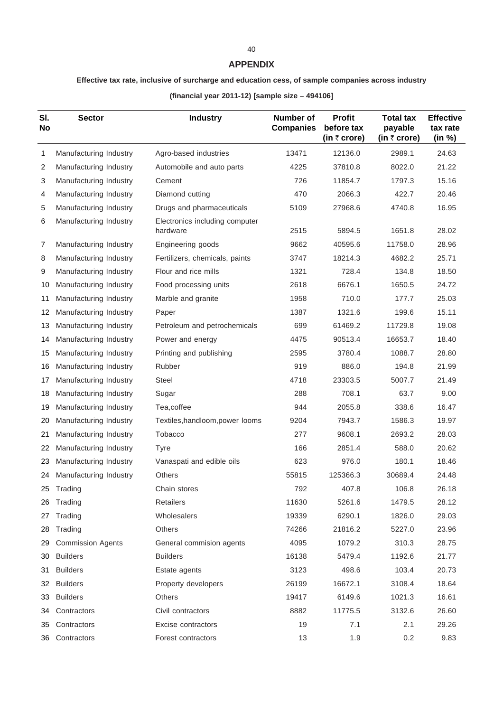## **APPENDIX**

# **Effective tax rate, inclusive of surcharge and education cess, of sample companies across industry**

**(financial year 2011-12) [sample size – 494106]**

| SI.<br>No | <b>Sector</b>            | <b>Industry</b>                            | <b>Number of</b><br><b>Companies</b> | <b>Profit</b><br>before tax<br>(in ₹ crore) | <b>Total tax</b><br>payable<br>(in $\bar{z}$ crore) | <b>Effective</b><br>tax rate<br>(in %) |
|-----------|--------------------------|--------------------------------------------|--------------------------------------|---------------------------------------------|-----------------------------------------------------|----------------------------------------|
| 1         | Manufacturing Industry   | Agro-based industries                      | 13471                                | 12136.0                                     | 2989.1                                              | 24.63                                  |
| 2         | Manufacturing Industry   | Automobile and auto parts                  | 4225                                 | 37810.8                                     | 8022.0                                              | 21.22                                  |
| 3         | Manufacturing Industry   | Cement                                     | 726                                  | 11854.7                                     | 1797.3                                              | 15.16                                  |
| 4         | Manufacturing Industry   | Diamond cutting                            | 470                                  | 2066.3                                      | 422.7                                               | 20.46                                  |
| 5         | Manufacturing Industry   | Drugs and pharmaceuticals                  | 5109                                 | 27968.6                                     | 4740.8                                              | 16.95                                  |
| 6         | Manufacturing Industry   | Electronics including computer<br>hardware | 2515                                 | 5894.5                                      | 1651.8                                              | 28.02                                  |
| 7         | Manufacturing Industry   | Engineering goods                          | 9662                                 | 40595.6                                     | 11758.0                                             | 28.96                                  |
| 8         | Manufacturing Industry   | Fertilizers, chemicals, paints             | 3747                                 | 18214.3                                     | 4682.2                                              | 25.71                                  |
| 9         | Manufacturing Industry   | Flour and rice mills                       | 1321                                 | 728.4                                       | 134.8                                               | 18.50                                  |
| 10        | Manufacturing Industry   | Food processing units                      | 2618                                 | 6676.1                                      | 1650.5                                              | 24.72                                  |
| 11        | Manufacturing Industry   | Marble and granite                         | 1958                                 | 710.0                                       | 177.7                                               | 25.03                                  |
| 12        | Manufacturing Industry   | Paper                                      | 1387                                 | 1321.6                                      | 199.6                                               | 15.11                                  |
| 13        | Manufacturing Industry   | Petroleum and petrochemicals               | 699                                  | 61469.2                                     | 11729.8                                             | 19.08                                  |
| 14        | Manufacturing Industry   | Power and energy                           | 4475                                 | 90513.4                                     | 16653.7                                             | 18.40                                  |
| 15        | Manufacturing Industry   | Printing and publishing                    | 2595                                 | 3780.4                                      | 1088.7                                              | 28.80                                  |
| 16        | Manufacturing Industry   | Rubber                                     | 919                                  | 886.0                                       | 194.8                                               | 21.99                                  |
| 17        | Manufacturing Industry   | <b>Steel</b>                               | 4718                                 | 23303.5                                     | 5007.7                                              | 21.49                                  |
| 18        | Manufacturing Industry   | Sugar                                      | 288                                  | 708.1                                       | 63.7                                                | 9.00                                   |
| 19        | Manufacturing Industry   | Tea,coffee                                 | 944                                  | 2055.8                                      | 338.6                                               | 16.47                                  |
| 20        | Manufacturing Industry   | Textiles, handloom, power looms            | 9204                                 | 7943.7                                      | 1586.3                                              | 19.97                                  |
| 21        | Manufacturing Industry   | Tobacco                                    | 277                                  | 9608.1                                      | 2693.2                                              | 28.03                                  |
| 22        | Manufacturing Industry   | Tyre                                       | 166                                  | 2851.4                                      | 588.0                                               | 20.62                                  |
| 23        | Manufacturing Industry   | Vanaspati and edible oils                  | 623                                  | 976.0                                       | 180.1                                               | 18.46                                  |
| 24        | Manufacturing Industry   | <b>Others</b>                              | 55815                                | 125366.3                                    | 30689.4                                             | 24.48                                  |
|           | 25 Trading               | Chain stores                               | 792                                  | 407.8                                       | 106.8                                               | 26.18                                  |
| 26        | Trading                  | Retailers                                  | 11630                                | 5261.6                                      | 1479.5                                              | 28.12                                  |
| 27        | Trading                  | Wholesalers                                | 19339                                | 6290.1                                      | 1826.0                                              | 29.03                                  |
| 28        | Trading                  | Others                                     | 74266                                | 21816.2                                     | 5227.0                                              | 23.96                                  |
| 29        | <b>Commission Agents</b> | General commision agents                   | 4095                                 | 1079.2                                      | 310.3                                               | 28.75                                  |
| 30        | <b>Builders</b>          | <b>Builders</b>                            | 16138                                | 5479.4                                      | 1192.6                                              | 21.77                                  |
| 31        | <b>Builders</b>          | Estate agents                              | 3123                                 | 498.6                                       | 103.4                                               | 20.73                                  |
| 32        | <b>Builders</b>          | Property developers                        | 26199                                | 16672.1                                     | 3108.4                                              | 18.64                                  |
| 33        | <b>Builders</b>          | <b>Others</b>                              | 19417                                | 6149.6                                      | 1021.3                                              | 16.61                                  |
| 34        | Contractors              | Civil contractors                          | 8882                                 | 11775.5                                     | 3132.6                                              | 26.60                                  |
| 35        | Contractors              | Excise contractors                         | 19                                   | 7.1                                         | 2.1                                                 | 29.26                                  |
|           | 36 Contractors           | Forest contractors                         | 13                                   | 1.9                                         | 0.2                                                 | 9.83                                   |